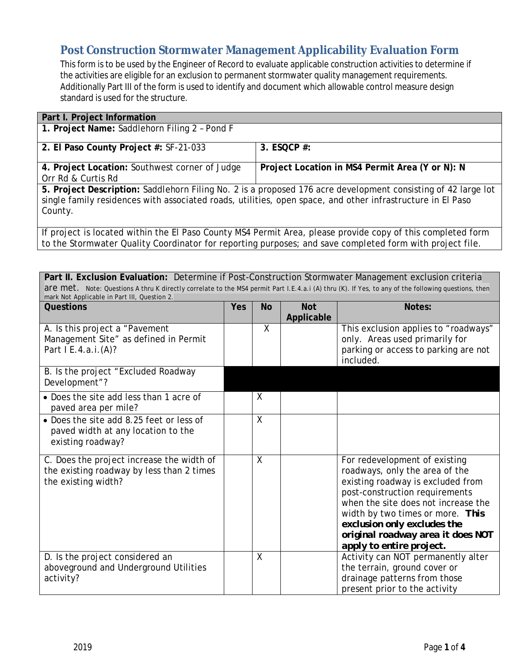## **Post Construction Stormwater Management Applicability Evaluation Form**

This form is to be used by the Engineer of Record to evaluate applicable construction activities to determine if the activities are eligible for an exclusion to permanent stormwater quality management requirements. Additionally Part III of the form is used to identify and document which allowable control measure design standard is used for the structure.

| Part I. Project Information                                                                                   |                                                 |  |  |  |  |
|---------------------------------------------------------------------------------------------------------------|-------------------------------------------------|--|--|--|--|
| 1. Project Name: Saddlehorn Filing 2 - Pond F                                                                 |                                                 |  |  |  |  |
|                                                                                                               |                                                 |  |  |  |  |
| 2. El Paso County Project #: SF-21-033                                                                        | 3. ESQCP $#$ :                                  |  |  |  |  |
|                                                                                                               |                                                 |  |  |  |  |
| 4. Project Location: Southwest corner of Judge                                                                | Project Location in MS4 Permit Area (Y or N): N |  |  |  |  |
| Orr Rd & Curtis Rd                                                                                            |                                                 |  |  |  |  |
| 5. Project Description: Saddlehorn Filing No. 2 is a proposed 176 acre development consisting of 42 large lot |                                                 |  |  |  |  |
| single family residences with associated roads, utilities, open space, and other infrastructure in El Paso    |                                                 |  |  |  |  |
| County.                                                                                                       |                                                 |  |  |  |  |
|                                                                                                               |                                                 |  |  |  |  |
| If project is located within the El Paso County MS4 Permit Area please provide copy of this completed form    |                                                 |  |  |  |  |

If project is located within the El Paso County MS4 Permit Area, please provide copy of this completed form to the Stormwater Quality Coordinator for reporting purposes; and save completed form with project file.

| Part II. Exclusion Evaluation: Determine if Post-Construction Stormwater Management exclusion criteria<br>are met. Note: Questions A thru K directly correlate to the MS4 permit Part I.E.4.a.i (A) thru (K). If Yes, to any of the following questions, then<br>mark Not Applicable in Part III, Question 2. |     |           |                          |                                                                                                                                                                                                                                                                                                                   |
|---------------------------------------------------------------------------------------------------------------------------------------------------------------------------------------------------------------------------------------------------------------------------------------------------------------|-----|-----------|--------------------------|-------------------------------------------------------------------------------------------------------------------------------------------------------------------------------------------------------------------------------------------------------------------------------------------------------------------|
| Questions                                                                                                                                                                                                                                                                                                     | Yes | <b>No</b> | <b>Not</b><br>Applicable | Notes:                                                                                                                                                                                                                                                                                                            |
| A. Is this project a "Pavement<br>Management Site" as defined in Permit<br>Part I E.4.a.i.(A)?                                                                                                                                                                                                                |     | X         |                          | This exclusion applies to "roadways"<br>only. Areas used primarily for<br>parking or access to parking are not<br>included.                                                                                                                                                                                       |
| B. Is the project "Excluded Roadway<br>Development"?                                                                                                                                                                                                                                                          |     |           |                          |                                                                                                                                                                                                                                                                                                                   |
| • Does the site add less than 1 acre of<br>paved area per mile?                                                                                                                                                                                                                                               |     | $\sf X$   |                          |                                                                                                                                                                                                                                                                                                                   |
| • Does the site add 8.25 feet or less of<br>paved width at any location to the<br>existing roadway?                                                                                                                                                                                                           |     | $\sf X$   |                          |                                                                                                                                                                                                                                                                                                                   |
| C. Does the project increase the width of<br>the existing roadway by less than 2 times<br>the existing width?                                                                                                                                                                                                 |     | $\sf X$   |                          | For redevelopment of existing<br>roadways, only the area of the<br>existing roadway is excluded from<br>post-construction requirements<br>when the site does not increase the<br>width by two times or more. This<br>exclusion only excludes the<br>original roadway area it does NOT<br>apply to entire project. |
| D. Is the project considered an<br>aboveground and Underground Utilities<br>activity?                                                                                                                                                                                                                         |     | $\sf X$   |                          | Activity can NOT permanently alter<br>the terrain, ground cover or<br>drainage patterns from those<br>present prior to the activity                                                                                                                                                                               |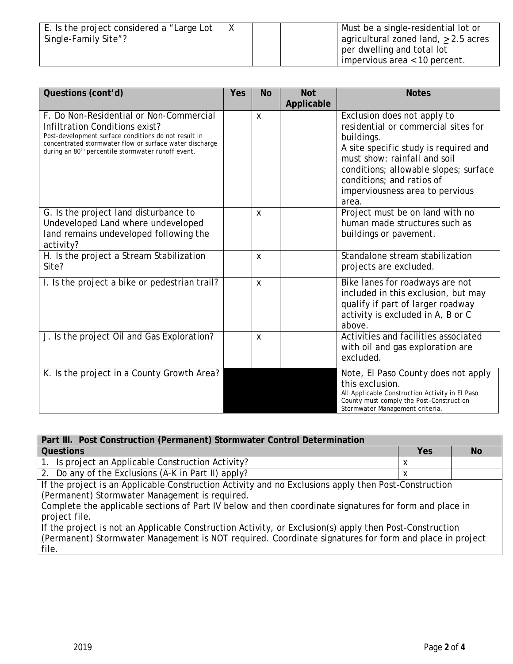| E. Is the project considered a "Large Lot |  | Must be a single-residential lot or  |
|-------------------------------------------|--|--------------------------------------|
| Single-Family Site"?                      |  | agricultural zoned land, > 2.5 acres |
|                                           |  | per dwelling and total lot           |
|                                           |  | impervious area $< 10$ percent.      |

| Questions (cont'd)                                                                                                                                                                                                                                             | Yes | <b>No</b>                 | <b>Not</b><br>Applicable | <b>Notes</b>                                                                                                                                                                                                                                                                |
|----------------------------------------------------------------------------------------------------------------------------------------------------------------------------------------------------------------------------------------------------------------|-----|---------------------------|--------------------------|-----------------------------------------------------------------------------------------------------------------------------------------------------------------------------------------------------------------------------------------------------------------------------|
| F. Do Non-Residential or Non-Commercial<br>Infiltration Conditions exist?<br>Post-development surface conditions do not result in<br>concentrated stormwater flow or surface water discharge<br>during an 80 <sup>th</sup> percentile stormwater runoff event. |     | $\mathsf{x}$              |                          | Exclusion does not apply to<br>residential or commercial sites for<br>buildings.<br>A site specific study is required and<br>must show: rainfall and soil<br>conditions; allowable slopes; surface<br>conditions; and ratios of<br>imperviousness area to pervious<br>area. |
| G. Is the project land disturbance to<br>Undeveloped Land where undeveloped<br>land remains undeveloped following the<br>activity?                                                                                                                             |     | $\boldsymbol{\mathsf{X}}$ |                          | Project must be on land with no<br>human made structures such as<br>buildings or pavement.                                                                                                                                                                                  |
| H. Is the project a Stream Stabilization<br>Site?                                                                                                                                                                                                              |     | $\boldsymbol{\mathsf{X}}$ |                          | Standalone stream stabilization<br>projects are excluded.                                                                                                                                                                                                                   |
| I. Is the project a bike or pedestrian trail?                                                                                                                                                                                                                  |     | $\boldsymbol{\mathsf{X}}$ |                          | Bike lanes for roadways are not<br>included in this exclusion, but may<br>qualify if part of larger roadway<br>activity is excluded in A, B or C<br>above.                                                                                                                  |
| J. Is the project Oil and Gas Exploration?                                                                                                                                                                                                                     |     | $\boldsymbol{\mathsf{X}}$ |                          | Activities and facilities associated<br>with oil and gas exploration are<br>excluded.                                                                                                                                                                                       |
| K. Is the project in a County Growth Area?                                                                                                                                                                                                                     |     |                           |                          | Note, El Paso County does not apply<br>this exclusion.<br>All Applicable Construction Activity in El Paso<br>County must comply the Post-Construction<br>Stormwater Management criteria.                                                                                    |

| Part III. Post Construction (Permanent) Stormwater Control Determination |     |           |  |  |  |
|--------------------------------------------------------------------------|-----|-----------|--|--|--|
| Questions                                                                | Yes | <b>No</b> |  |  |  |
| 1. Is project an Applicable Construction Activity?                       |     |           |  |  |  |
| 2. Do any of the Exclusions (A-K in Part II) apply?                      |     |           |  |  |  |

If the project is an Applicable Construction Activity and no Exclusions apply then Post-Construction (Permanent) Stormwater Management is required.

Complete the applicable sections of Part IV below and then coordinate signatures for form and place in project file.

If the project is not an Applicable Construction Activity, or Exclusion(s) apply then Post-Construction (Permanent) Stormwater Management is NOT required. Coordinate signatures for form and place in project file.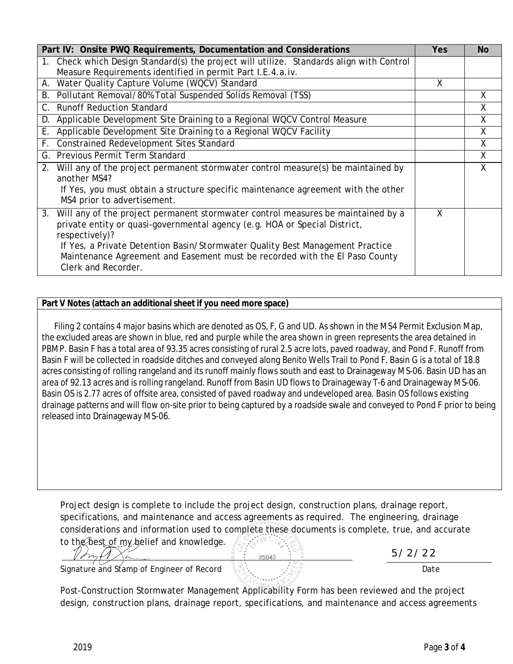| Part IV: Onsite PWQ Requirements, Documentation and Considerations                                                                                                                                                                                                                                                                                                            | Yes | <b>No</b> |
|-------------------------------------------------------------------------------------------------------------------------------------------------------------------------------------------------------------------------------------------------------------------------------------------------------------------------------------------------------------------------------|-----|-----------|
| 1. Check which Design Standard(s) the project will utilize. Standards align with Control<br>Measure Requirements identified in permit Part I.E.4.a.iv.                                                                                                                                                                                                                        |     |           |
| A. Water Quality Capture Volume (WQCV) Standard                                                                                                                                                                                                                                                                                                                               | X   |           |
| Pollutant Removal/80% Total Suspended Solids Removal (TSS)<br>В.                                                                                                                                                                                                                                                                                                              |     | X         |
| C. Runoff Reduction Standard                                                                                                                                                                                                                                                                                                                                                  |     | χ         |
| D. Applicable Development Site Draining to a Regional WQCV Control Measure                                                                                                                                                                                                                                                                                                    |     | X.        |
| Applicable Development Site Draining to a Regional WQCV Facility<br>Е.                                                                                                                                                                                                                                                                                                        |     | X         |
| F. Constrained Redevelopment Sites Standard                                                                                                                                                                                                                                                                                                                                   |     | X         |
| G. Previous Permit Term Standard                                                                                                                                                                                                                                                                                                                                              |     | X         |
| 2. Will any of the project permanent stormwater control measure(s) be maintained by<br>another MS4?<br>If Yes, you must obtain a structure specific maintenance agreement with the other<br>MS4 prior to advertisement.                                                                                                                                                       |     | X         |
| 3.<br>Will any of the project permanent stormwater control measures be maintained by a<br>private entity or quasi-governmental agency (e.g. HOA or Special District,<br>respectively)?<br>If Yes, a Private Detention Basin/Stormwater Quality Best Management Practice<br>Maintenance Agreement and Easement must be recorded with the El Paso County<br>Clerk and Recorder. | X   |           |

## **Part V Notes (attach an additional sheet if you need more space)**

 Filing 2 contains 4 major basins which are denoted as OS, F, G and UD. As shown in the MS4 Permit Exclusion Map, the excluded areas are shown in blue, red and purple while the area shown in green represents the area detained in PBMP. Basin F has a total area of 93.35 acres consisting of rural 2.5 acre lots, paved roadway, and Pond F. Runoff from Basin F will be collected in roadside ditches and conveyed along Benito Wells Trail to Pond F. Basin G is a total of 18.8 acres consisting of rolling rangeland and its runoff mainly flows south and east to Drainageway MS-06. Basin UD has an area of 92.13 acres and is rolling rangeland. Runoff from Basin UD flows to Drainageway T-6 and Drainageway MS-06. Basin OS is 2.77 acres of offsite area, consisted of paved roadway and undeveloped area. Basin OS follows existing drainage patterns and will flow on-site prior to being captured by a roadside swale and conveyed to Pond F prior to being released into Drainageway MS-06.

Project design is complete to include the project design, construction plans, drainage report, specifications, and maintenance and access agreements as required. The engineering, drainage considerations and information used to complete these documents is complete, true, and accurate to the best of my belief and knowledge.  $\mathbb{R}^{\mathcal{O}_{\mathcal{S}}(\mathcal{M})}$ 

| to the best of hypericial and Niowicage.  |  |      |
|-------------------------------------------|--|------|
| Signature and Stamp of Engineer of Record |  | Date |

Post-Construction Stormwater Management Applicability Form has been reviewed and the project design, construction plans, drainage report, specifications, and maintenance and access agreements